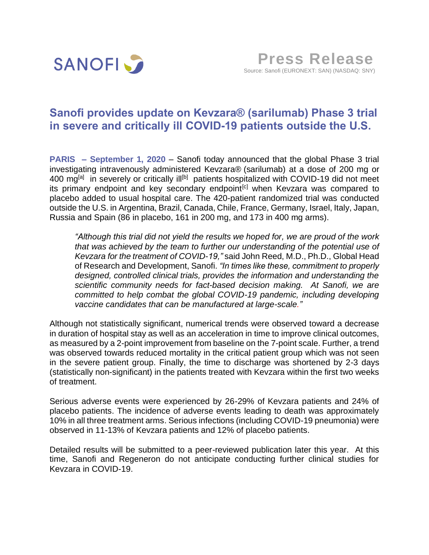

# **Sanofi provides update on Kevzara® (sarilumab) Phase 3 trial in severe and critically ill COVID-19 patients outside the U.S.**

**PARIS – September 1, 2020** – Sanofi today announced that the global Phase 3 trial investigating intravenously administered Kevzara® (sarilumab) at a dose of 200 mg or 400 mg<sup>[a]</sup> in severely or critically ill<sup>[b]</sup> patients hospitalized with COVID-19 did not meet its primary endpoint and key secondary endpoint<sup>[c]</sup> when Keyzara was compared to placebo added to usual hospital care. The 420-patient randomized trial was conducted outside the U.S. in Argentina, Brazil, Canada, Chile, France, Germany, Israel, Italy, Japan, Russia and Spain (86 in placebo, 161 in 200 mg, and 173 in 400 mg arms).

*"Although this trial did not yield the results we hoped for, we are proud of the work that was achieved by the team to further our understanding of the potential use of Kevzara for the treatment of COVID-19,"* said John Reed, M.D., Ph.D., Global Head of Research and Development, Sanofi. *"In times like these, commitment to properly designed, controlled clinical trials, provides the information and understanding the scientific community needs for fact-based decision making. At Sanofi, we are committed to help combat the global COVID-19 pandemic, including developing vaccine candidates that can be manufactured at large-scale."*

Although not statistically significant, numerical trends were observed toward a decrease in duration of hospital stay as well as an acceleration in time to improve clinical outcomes, as measured by a 2-point improvement from baseline on the 7-point scale. Further, a trend was observed towards reduced mortality in the critical patient group which was not seen in the severe patient group. Finally, the time to discharge was shortened by 2-3 days (statistically non-significant) in the patients treated with Kevzara within the first two weeks of treatment.

Serious adverse events were experienced by 26-29% of Kevzara patients and 24% of placebo patients. The incidence of adverse events leading to death was approximately 10% in all three treatment arms. Serious infections (including COVID-19 pneumonia) were observed in 11-13% of Kevzara patients and 12% of placebo patients.

Detailed results will be submitted to a peer-reviewed publication later this year. At this time, Sanofi and Regeneron do not anticipate conducting further clinical studies for Kevzara in COVID-19.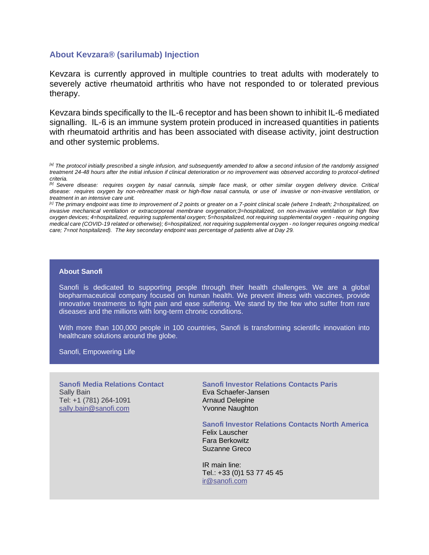## **About Kevzara® (sarilumab) Injection**

Kevzara is currently approved in multiple countries to treat adults with moderately to severely active rheumatoid arthritis who have not responded to or tolerated previous therapy.

Kevzara binds specifically to the IL-6 receptor and has been shown to inhibit IL-6 mediated signalling. IL-6 is an immune system protein produced in increased quantities in patients with rheumatoid arthritis and has been associated with disease activity, joint destruction and other systemic problems.

*[a] The protocol initially prescribed a single infusion, and subsequently amended to allow a second infusion of the randomly assigned treatment 24-48 hours after the initial infusion if clinical deterioration or no improvement was observed according to protocol-defined criteria.*

*[c] The primary endpoint was time to improvement of 2 points or greater on a 7-point clinical scale (where 1=death; 2=hospitalized, on invasive mechanical ventilation or extracorporeal membrane oxygenation;3=hospitalized, on non-invasive ventilation or high flow oxygen devices; 4=hospitalized, requiring supplemental oxygen; 5=hospitalized, not requiring supplemental oxygen - requiring ongoing medical care (COVID-19 related or otherwise); 6=hospitalized, not requiring supplemental oxygen - no longer requires ongoing medical care; 7=not hospitalized). The key secondary endpoint was percentage of patients alive at Day 29.*

### **About Sanofi**

Sanofi is dedicated to supporting people through their health challenges. We are a global biopharmaceutical company focused on human health. We prevent illness with vaccines, provide innovative treatments to fight pain and ease suffering. We stand by the few who suffer from rare diseases and the millions with long-term chronic conditions.

With more than 100,000 people in 100 countries, Sanofi is transforming scientific innovation into healthcare solutions around the globe.

Sanofi, Empowering Life

**Sanofi Media Relations Contact** Sally Bain Tel: +1 (781) 264-1091 [sally.bain@sanofi.com](mailto:sally.bain@sanofi.com)

**Sanofi Investor Relations Contacts Paris** Eva Schaefer-Jansen Arnaud Delepine Yvonne Naughton

### **Sanofi Investor Relations Contacts North America**

Felix Lauscher Fara Berkowitz Suzanne Greco

IR main line: Tel.: +33 (0)1 53 77 45 45 [ir@sanofi.com](mailto:ir@sanofi.com)

*<sup>[</sup>b] Severe disease: requires oxygen by nasal cannula, simple face mask, or other similar oxygen delivery device. Critical disease: requires oxygen by non-rebreather mask or high-flow nasal cannula, or use of invasive or non-invasive ventilation, or treatment in an intensive care unit.*